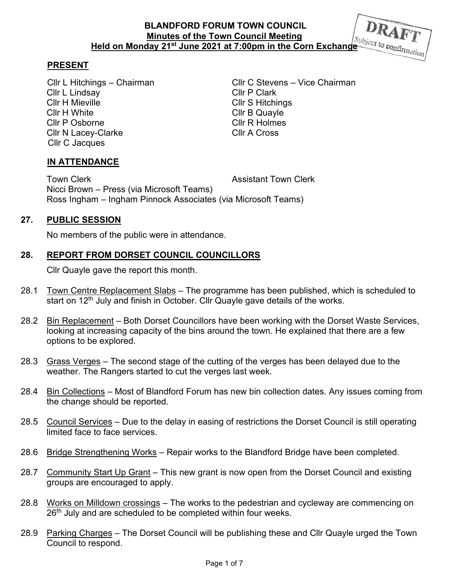### **PRESENT**

Cllr L Lindsay Cllr P Clark Cllr H Mieville Cllr S Hitchings Cllr H White Cllr B Quayle Cllr P Osborne Cllr R Holmes Cllr N Lacey-Clarke Cllr A Cross Cllr C Jacques

Cllr L Hitchings – Chairman Cllr C Stevens – Vice Chairman

## **IN ATTENDANCE**

Town Clerk **Assistant Town Clerk Assistant Town Clerk**  Nicci Brown – Press (via Microsoft Teams) Ross Ingham – Ingham Pinnock Associates (via Microsoft Teams)

## **27. PUBLIC SESSION**

No members of the public were in attendance.

## **28. REPORT FROM DORSET COUNCIL COUNCILLORS**

Cllr Quayle gave the report this month.

- 28.1 Town Centre Replacement Slabs The programme has been published, which is scheduled to start on  $12<sup>th</sup>$  July and finish in October. Cllr Quayle gave details of the works.
- 28.2 Bin Replacement Both Dorset Councillors have been working with the Dorset Waste Services, looking at increasing capacity of the bins around the town. He explained that there are a few options to be explored.
- 28.3 Grass Verges The second stage of the cutting of the verges has been delayed due to the weather. The Rangers started to cut the verges last week.
- 28.4 Bin Collections Most of Blandford Forum has new bin collection dates. Any issues coming from the change should be reported.
- 28.5 Council Services Due to the delay in easing of restrictions the Dorset Council is still operating limited face to face services.
- 28.6 Bridge Strengthening Works Repair works to the Blandford Bridge have been completed.
- 28.7 Community Start Up Grant This new grant is now open from the Dorset Council and existing groups are encouraged to apply.
- 28.8 Works on Milldown crossings The works to the pedestrian and cycleway are commencing on 26<sup>th</sup> July and are scheduled to be completed within four weeks.
- 28.9 Parking Charges The Dorset Council will be publishing these and Cllr Quayle urged the Town Council to respond.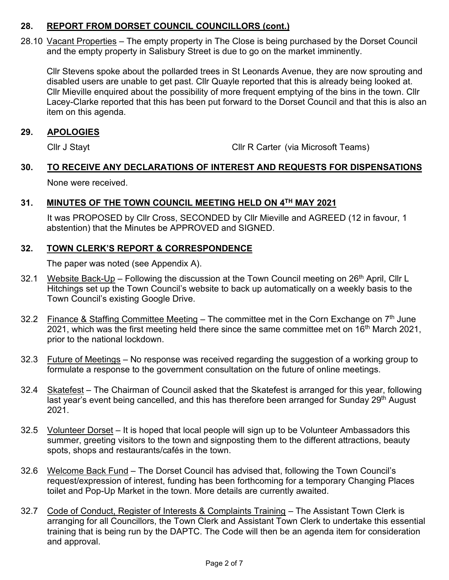## **28. REPORT FROM DORSET COUNCIL COUNCILLORS (cont.)**

28.10 Vacant Properties – The empty property in The Close is being purchased by the Dorset Council and the empty property in Salisbury Street is due to go on the market imminently.

 Cllr Stevens spoke about the pollarded trees in St Leonards Avenue, they are now sprouting and disabled users are unable to get past. Cllr Quayle reported that this is already being looked at. Cllr Mieville enquired about the possibility of more frequent emptying of the bins in the town. Cllr Lacey-Clarke reported that this has been put forward to the Dorset Council and that this is also an item on this agenda.

## **29. APOLOGIES**

Cllr J Stayt Cllr R Carter (via Microsoft Teams)

# **30. TO RECEIVE ANY DECLARATIONS OF INTEREST AND REQUESTS FOR DISPENSATIONS**

None were received.

## **31. MINUTES OF THE TOWN COUNCIL MEETING HELD ON 4TH MAY 2021**

 It was PROPOSED by Cllr Cross, SECONDED by Cllr Mieville and AGREED (12 in favour, 1 abstention) that the Minutes be APPROVED and SIGNED.

## **32. TOWN CLERK'S REPORT & CORRESPONDENCE**

The paper was noted (see Appendix A).

- 32.1 Website Back-Up Following the discussion at the Town Council meeting on 26<sup>th</sup> April, Cllr L Hitchings set up the Town Council's website to back up automatically on a weekly basis to the Town Council's existing Google Drive.
- 32.2 Finance & Staffing Committee Meeting The committee met in the Corn Exchange on  $7<sup>th</sup>$  June 2021, which was the first meeting held there since the same committee met on 16<sup>th</sup> March 2021, prior to the national lockdown.
- 32.3 Future of Meetings No response was received regarding the suggestion of a working group to formulate a response to the government consultation on the future of online meetings.
- 32.4 Skatefest The Chairman of Council asked that the Skatefest is arranged for this year, following last year's event being cancelled, and this has therefore been arranged for Sunday 29<sup>th</sup> August 2021.
- 32.5 Volunteer Dorset It is hoped that local people will sign up to be Volunteer Ambassadors this summer, greeting visitors to the town and signposting them to the different attractions, beauty spots, shops and restaurants/cafés in the town.
- 32.6 Welcome Back Fund The Dorset Council has advised that, following the Town Council's request/expression of interest, funding has been forthcoming for a temporary Changing Places toilet and Pop-Up Market in the town. More details are currently awaited.
- 32.7 Code of Conduct, Register of Interests & Complaints Training The Assistant Town Clerk is arranging for all Councillors, the Town Clerk and Assistant Town Clerk to undertake this essential training that is being run by the DAPTC. The Code will then be an agenda item for consideration and approval.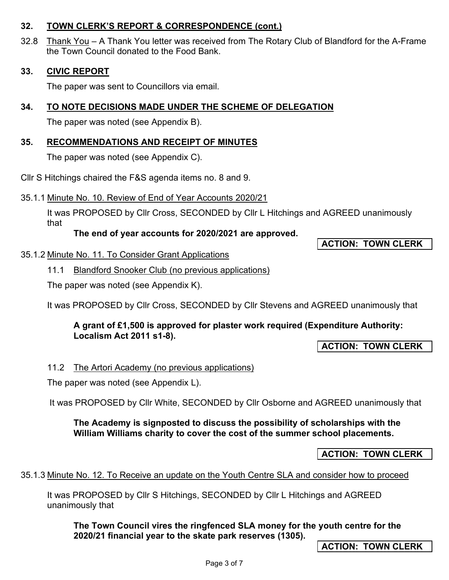## **32. TOWN CLERK'S REPORT & CORRESPONDENCE (cont.)**

32.8 Thank You – A Thank You letter was received from The Rotary Club of Blandford for the A-Frame the Town Council donated to the Food Bank.

## **33. CIVIC REPORT**

The paper was sent to Councillors via email.

## **34. TO NOTE DECISIONS MADE UNDER THE SCHEME OF DELEGATION**

The paper was noted (see Appendix B).

## **35. RECOMMENDATIONS AND RECEIPT OF MINUTES**

The paper was noted (see Appendix C).

Cllr S Hitchings chaired the F&S agenda items no. 8 and 9.

## 35.1.1 Minute No. 10. Review of End of Year Accounts 2020/21

It was PROPOSED by Cllr Cross, SECONDED by Cllr L Hitchings and AGREED unanimously that

## **The end of year accounts for 2020/2021 are approved.**

**ACTION: TOWN CLERK** 

## 35.1.2 Minute No. 11. To Consider Grant Applications

11.1 Blandford Snooker Club (no previous applications)

The paper was noted (see Appendix K).

It was PROPOSED by Cllr Cross, SECONDED by Cllr Stevens and AGREED unanimously that

## **A grant of £1,500 is approved for plaster work required (Expenditure Authority: Localism Act 2011 s1-8).**

**ACTION: TOWN CLERK** 

#### 11.2 The Artori Academy (no previous applications)

The paper was noted (see Appendix L).

It was PROPOSED by Cllr White, SECONDED by Cllr Osborne and AGREED unanimously that

## **The Academy is signposted to discuss the possibility of scholarships with the William Williams charity to cover the cost of the summer school placements.**

**ACTION: TOWN CLERK** 

#### 35.1.3 Minute No. 12. To Receive an update on the Youth Centre SLA and consider how to proceed

It was PROPOSED by Cllr S Hitchings, SECONDED by Cllr L Hitchings and AGREED unanimously that

**The Town Council vires the ringfenced SLA money for the youth centre for the 2020/21 financial year to the skate park reserves (1305).** 

**ACTION: TOWN CLERK**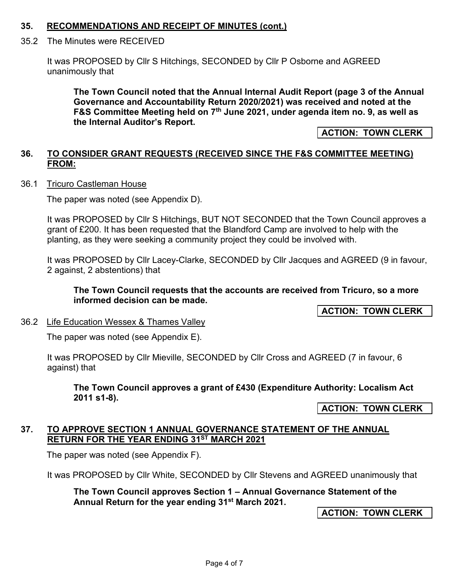#### **35. RECOMMENDATIONS AND RECEIPT OF MINUTES (cont.)**

#### 35.2 The Minutes were RECEIVED

 It was PROPOSED by Cllr S Hitchings, SECONDED by Cllr P Osborne and AGREED unanimously that

**The Town Council noted that the Annual Internal Audit Report (page 3 of the Annual Governance and Accountability Return 2020/2021) was received and noted at the F&S Committee Meeting held on 7th June 2021, under agenda item no. 9, as well as the Internal Auditor's Report.**

**ACTION: TOWN CLERK** 

### **36. TO CONSIDER GRANT REQUESTS (RECEIVED SINCE THE F&S COMMITTEE MEETING) FROM:**

36.1 Tricuro Castleman House

The paper was noted (see Appendix D).

It was PROPOSED by Cllr S Hitchings, BUT NOT SECONDED that the Town Council approves a grant of £200. It has been requested that the Blandford Camp are involved to help with the planting, as they were seeking a community project they could be involved with.

It was PROPOSED by Cllr Lacey-Clarke, SECONDED by Cllr Jacques and AGREED (9 in favour, 2 against, 2 abstentions) that

**The Town Council requests that the accounts are received from Tricuro, so a more informed decision can be made.** 

**ACTION: TOWN CLERK** 

36.2 Life Education Wessex & Thames Valley

The paper was noted (see Appendix E).

It was PROPOSED by Cllr Mieville, SECONDED by Cllr Cross and AGREED (7 in favour, 6 against) that

**The Town Council approves a grant of £430 (Expenditure Authority: Localism Act 2011 s1-8).**

**ACTION: TOWN CLERK** 

#### **37. TO APPROVE SECTION 1 ANNUAL GOVERNANCE STATEMENT OF THE ANNUAL RETURN FOR THE YEAR ENDING 31ST MARCH 2021**

The paper was noted (see Appendix F).

It was PROPOSED by Cllr White, SECONDED by Cllr Stevens and AGREED unanimously that

**The Town Council approves Section 1 – Annual Governance Statement of the Annual Return for the year ending 31st March 2021.**

**ACTION: TOWN CLERK**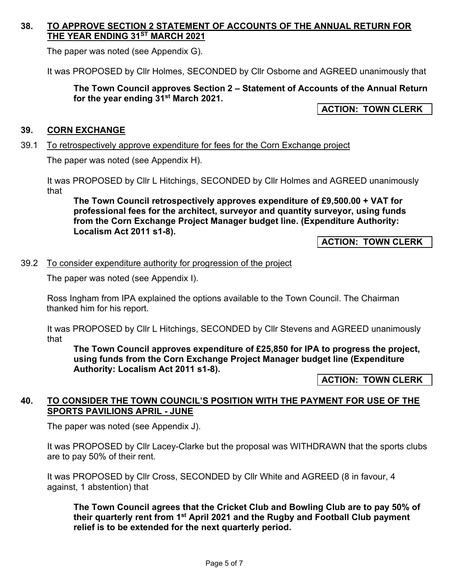## **38. TO APPROVE SECTION 2 STATEMENT OF ACCOUNTS OF THE ANNUAL RETURN FOR THE YEAR ENDING 31ST MARCH 2021**

The paper was noted (see Appendix G).

It was PROPOSED by Cllr Holmes, SECONDED by Cllr Osborne and AGREED unanimously that

**The Town Council approves Section 2 – Statement of Accounts of the Annual Return for the year ending 31st March 2021.**

**ACTION: TOWN CLERK** 

#### **39. CORN EXCHANGE**

#### 39.1 To retrospectively approve expenditure for fees for the Corn Exchange project

The paper was noted (see Appendix H).

It was PROPOSED by Cllr L Hitchings, SECONDED by Cllr Holmes and AGREED unanimously that

**The Town Council retrospectively approves expenditure of £9,500.00 + VAT for professional fees for the architect, surveyor and quantity surveyor, using funds from the Corn Exchange Project Manager budget line. (Expenditure Authority: Localism Act 2011 s1-8).**

**ACTION: TOWN CLERK** 

## 39.2 To consider expenditure authority for progression of the project

The paper was noted (see Appendix I).

 Ross Ingham from IPA explained the options available to the Town Council. The Chairman thanked him for his report.

It was PROPOSED by Cllr L Hitchings, SECONDED by Cllr Stevens and AGREED unanimously that

**The Town Council approves expenditure of £25,850 for IPA to progress the project, using funds from the Corn Exchange Project Manager budget line (Expenditure Authority: Localism Act 2011 s1-8).**

**ACTION: TOWN CLERK** 

#### **40. TO CONSIDER THE TOWN COUNCIL'S POSITION WITH THE PAYMENT FOR USE OF THE SPORTS PAVILIONS APRIL - JUNE**

The paper was noted (see Appendix J).

It was PROPOSED by Cllr Lacey-Clarke but the proposal was WITHDRAWN that the sports clubs are to pay 50% of their rent.

It was PROPOSED by Cllr Cross, SECONDED by Cllr White and AGREED (8 in favour, 4 against, 1 abstention) that

**The Town Council agrees that the Cricket Club and Bowling Club are to pay 50% of their quarterly rent from 1st April 2021 and the Rugby and Football Club payment relief is to be extended for the next quarterly period.**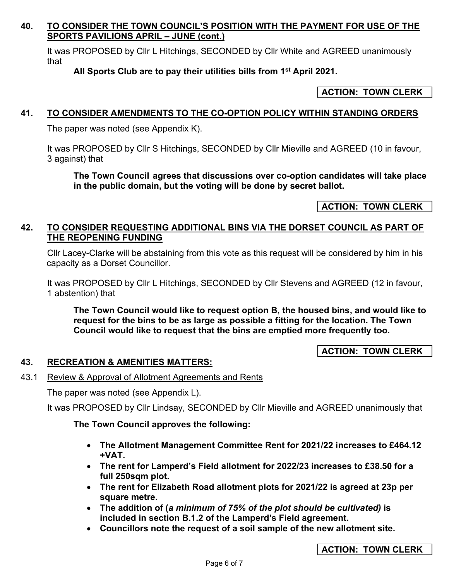## **40. TO CONSIDER THE TOWN COUNCIL'S POSITION WITH THE PAYMENT FOR USE OF THE SPORTS PAVILIONS APRIL – JUNE (cont.)**

It was PROPOSED by Cllr L Hitchings, SECONDED by Cllr White and AGREED unanimously that

## **All Sports Club are to pay their utilities bills from 1st April 2021.**

#### **ACTION: TOWN CLERK**

### **41. TO CONSIDER AMENDMENTS TO THE CO-OPTION POLICY WITHIN STANDING ORDERS**

The paper was noted (see Appendix K).

It was PROPOSED by Cllr S Hitchings, SECONDED by Cllr Mieville and AGREED (10 in favour, 3 against) that

**The Town Council agrees that discussions over co-option candidates will take place in the public domain, but the voting will be done by secret ballot.**

**ACTION: TOWN CLERK** 

#### **42. TO CONSIDER REQUESTING ADDITIONAL BINS VIA THE DORSET COUNCIL AS PART OF THE REOPENING FUNDING**

 Cllr Lacey-Clarke will be abstaining from this vote as this request will be considered by him in his capacity as a Dorset Councillor.

It was PROPOSED by Cllr L Hitchings, SECONDED by Cllr Stevens and AGREED (12 in favour, 1 abstention) that

**The Town Council would like to request option B, the housed bins, and would like to request for the bins to be as large as possible a fitting for the location. The Town Council would like to request that the bins are emptied more frequently too.** 

#### **ACTION: TOWN CLERK**

#### **43. RECREATION & AMENITIES MATTERS:**

#### 43.1 Review & Approval of Allotment Agreements and Rents

The paper was noted (see Appendix L).

It was PROPOSED by Cllr Lindsay, SECONDED by Cllr Mieville and AGREED unanimously that

#### **The Town Council approves the following:**

- **The Allotment Management Committee Rent for 2021/22 increases to £464.12 +VAT.**
- **The rent for Lamperd's Field allotment for 2022/23 increases to £38.50 for a full 250sqm plot.**
- **The rent for Elizabeth Road allotment plots for 2021/22 is agreed at 23p per square metre.**
- **The addition of (***a minimum of 75% of the plot should be cultivated)* **is included in section B.1.2 of the Lamperd's Field agreement.**
- **Councillors note the request of a soil sample of the new allotment site.**